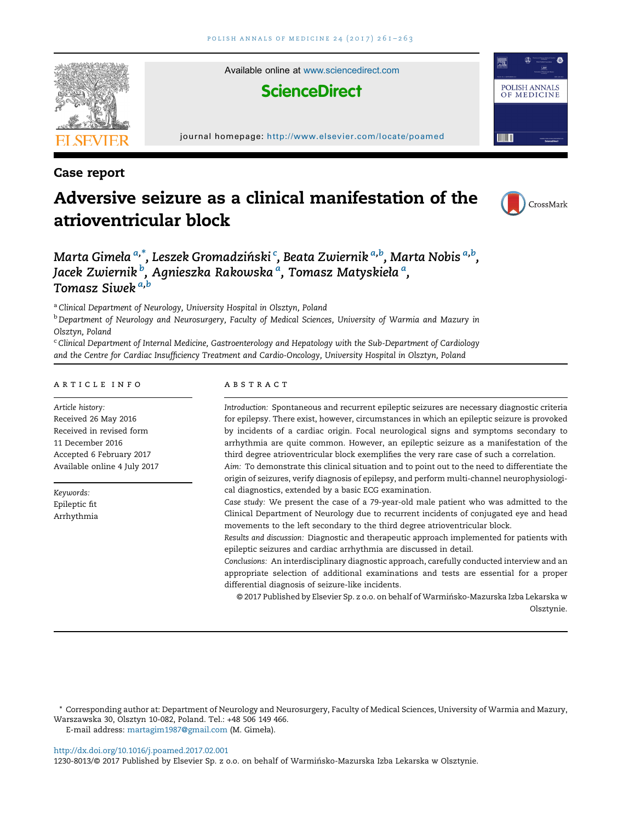

# Case report

# Adversive seizure as a clinical manifestation of the atrioventricular block



# Marta Gimeła <sup>a,\*</sup>, Leszek Gromadziński <sup>c</sup>, Beata Zwiernik <sup>a,b</sup>, Marta Nobis <sup>a,b</sup>, Jacek Zwiernik <sup>b</sup>, Agnieszka Rakowska <sup>a</sup>, Tomasz Matyskieła <sup>a</sup>, Tomasz Siwek a,b

a Clinical Department of Neurology, University Hospital in Olsztyn, Poland

**b Department of Neurology and Neurosurgery, Faculty of Medical Sciences, University of Warmia and Mazury in** Olsztyn, Poland

<sup>c</sup> Clinical Department of Internal Medicine, Gastroenterology and Hepatology with the Sub-Department of Cardiology and the Centre for Cardiac Insufficiency Treatment and Cardio-Oncology, University Hospital in Olsztyn, Poland

#### article info

Article history: Received 26 May 2016 Received in revised form 11 December 2016 Accepted 6 February 2017 Available online 4 July 2017

Keywords: Epileptic fit Arrhythmia

#### **ABSTRACT**

Introduction: Spontaneous and recurrent epileptic seizures are necessary diagnostic criteria for epilepsy. There exist, however, circumstances in which an epileptic seizure is provoked by incidents of a cardiac origin. Focal neurological signs and symptoms secondary to arrhythmia are quite common. However, an epileptic seizure as a manifestation of the third degree atrioventricular block exemplifies the very rare case of such a correlation.

Aim: To demonstrate this clinical situation and to point out to the need to differentiate the origin of seizures, verify diagnosis of epilepsy, and perform multi-channel neurophysiological diagnostics, extended by a basic ECG examination.

Case study: We present the case of a 79-year-old male patient who was admitted to the Clinical Department of Neurology due to recurrent incidents of conjugated eye and head movements to the left secondary to the third degree atrioventricular block.

Results and discussion: Diagnostic and therapeutic approach implemented for patients with epileptic seizures and cardiac arrhythmia are discussed in detail.

Conclusions: An interdisciplinary diagnostic approach, carefully conducted interview and an appropriate selection of additional examinations and tests are essential for a proper differential diagnosis of seizure-like incidents.

© 2017 Published by Elsevier Sp. z o.o. on behalf of Warmińsko-Mazurska Izba Lekarska w Olsztynie.

\* Corresponding author at: Department of Neurology and Neurosurgery, Faculty of Medical Sciences, University of Warmia and Mazury, Warszawska 30, Olsztyn 10-082, Poland. Tel.: +48 506 149 466. E-mail address: [martagim1987@gmail.com](mailto:martagim1987@gmail.com) (M. Gimeła).

<http://dx.doi.org/10.1016/j.poamed.2017.02.001>

1230-8013/© 2017 Published by Elsevier Sp. z o.o. on behalf of Warmińsko-Mazurska Izba Lekarska w Olsztynie.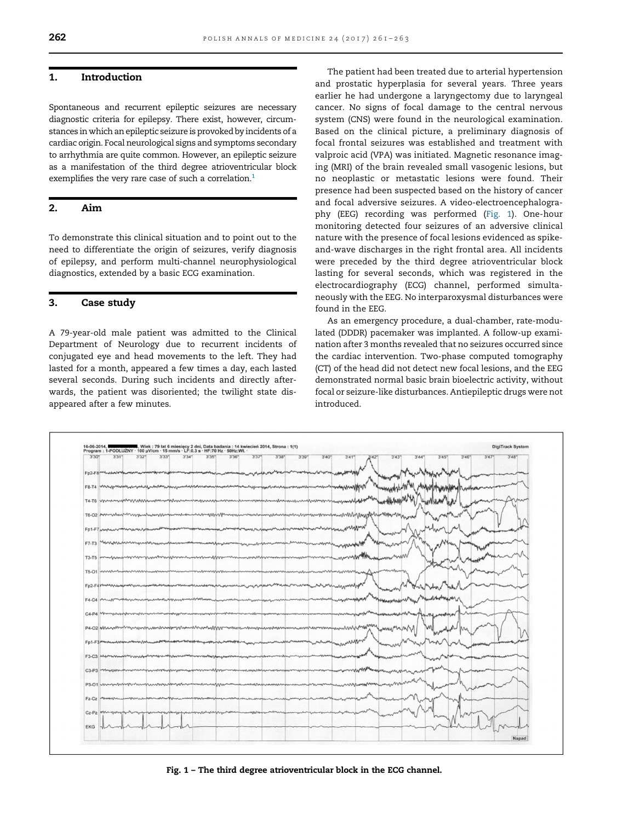### 1. Introduction

Spontaneous and recurrent epileptic seizures are necessary diagnostic criteria for epilepsy. There exist, however, circumstances in which an epileptic seizure is provoked by incidents of a cardiac origin. Focal neurological signs and symptoms secondary to arrhythmia are quite common. However, an epileptic seizure as a manifestation of the third degree atrioventricular block exemplifies the very rare case of such a correlation.<sup>1</sup>

## 2. Aim

To demonstrate this clinical situation and to point out to the need to differentiate the origin of seizures, verify diagnosis of epilepsy, and perform multi-channel neurophysiological diagnostics, extended by a basic ECG examination.

#### 3. Case study

A 79-year-old male patient was admitted to the Clinical Department of Neurology due to recurrent incidents of conjugated eye and head movements to the left. They had lasted for a month, appeared a few times a day, each lasted several seconds. During such incidents and directly afterwards, the patient was disoriented; the twilight state disappeared after a few minutes.

The patient had been treated due to arterial hypertension and prostatic hyperplasia for several years. Three years earlier he had undergone a laryngectomy due to laryngeal cancer. No signs of focal damage to the central nervous system (CNS) were found in the neurological examination. Based on the clinical picture, a preliminary diagnosis of focal frontal seizures was established and treatment with valproic acid (VPA) was initiated. Magnetic resonance imaging (MRI) of the brain revealed small vasogenic lesions, but no neoplastic or metastatic lesions were found. Their presence had been suspected based on the history of cancer and focal adversive seizures. A video-electroencephalography (EEG) recording was performed (Fig. 1). One-hour monitoring detected four seizures of an adversive clinical nature with the presence of focal lesions evidenced as spikeand-wave discharges in the right frontal area. All incidents were preceded by the third degree atrioventricular block lasting for several seconds, which was registered in the electrocardiography (ECG) channel, performed simultaneously with the EEG. No interparoxysmal disturbances were found in the EEG.

As an emergency procedure, a dual-chamber, rate-modulated (DDDR) pacemaker was implanted. A follow-up examination after 3 months revealed that no seizures occurred since the cardiac intervention. Two-phase computed tomography (CT) of the head did not detect new focal lesions, and the EEG demonstrated normal basic brain bioelectric activity, without focal or seizure-like disturbances. Antiepileptic drugs were not introduced.



Fig. 1 – The third degree atrioventricular block in the ECG channel.